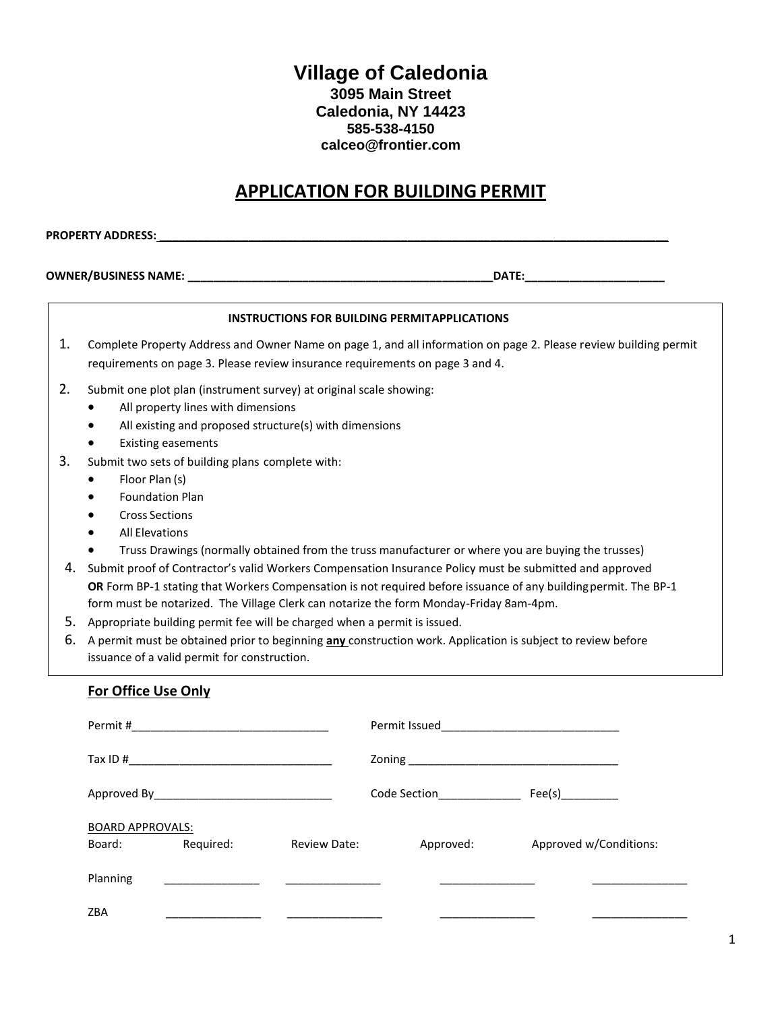## **Village of Caledonia 3095 Main Street Caledonia, NY 14423 585-538-4150 calceo@frontier.com**

# **APPLICATION FOR BUILDING PERMIT**

**PROPERTY ADDRESS: \_\_\_\_\_\_\_\_\_\_\_\_\_\_\_\_\_\_\_\_\_\_\_\_\_\_\_\_\_\_\_\_\_\_\_\_\_\_\_\_\_\_\_\_\_\_\_\_\_\_\_\_\_\_\_\_\_\_\_\_\_\_\_\_\_\_\_\_\_\_\_\_\_\_\_\_\_\_\_\_**

**OWNER/BUSINESS NAME: \_\_\_\_\_\_\_\_\_\_\_\_\_\_\_\_\_\_\_\_\_\_\_\_\_\_\_\_\_\_\_\_\_\_\_\_\_\_\_\_\_\_\_\_\_\_\_\_DATE:\_\_\_\_\_\_\_\_\_\_\_\_\_\_\_\_\_\_\_\_\_\_**

Planning \_\_\_\_\_\_\_\_\_\_\_\_\_\_\_ \_\_\_\_\_\_\_\_\_\_\_\_\_\_\_ \_\_\_\_\_\_\_\_\_\_\_\_\_\_\_ \_\_\_\_\_\_\_\_\_\_\_\_\_\_\_

|          |                                                                                                                                                                                                                                                                                                                                                                                                                                                                                                              | <b>INSTRUCTIONS FOR BUILDING PERMITAPPLICATIONS</b>                                                         |
|----------|--------------------------------------------------------------------------------------------------------------------------------------------------------------------------------------------------------------------------------------------------------------------------------------------------------------------------------------------------------------------------------------------------------------------------------------------------------------------------------------------------------------|-------------------------------------------------------------------------------------------------------------|
| 1.       | Complete Property Address and Owner Name on page 1, and all information on page 2. Please review building permit<br>requirements on page 3. Please review insurance requirements on page 3 and 4.                                                                                                                                                                                                                                                                                                            |                                                                                                             |
| 2.       | Submit one plot plan (instrument survey) at original scale showing:<br>All property lines with dimensions<br>All existing and proposed structure(s) with dimensions<br>$\bullet$<br><b>Existing easements</b>                                                                                                                                                                                                                                                                                                |                                                                                                             |
| 3.<br>4. | Submit two sets of building plans complete with:<br>Floor Plan (s)<br><b>Foundation Plan</b><br>$\bullet$<br><b>Cross Sections</b><br>$\bullet$<br><b>All Elevations</b><br>Truss Drawings (normally obtained from the truss manufacturer or where you are buying the trusses)<br>Submit proof of Contractor's valid Workers Compensation Insurance Policy must be submitted and approved<br>OR Form BP-1 stating that Workers Compensation is not required before issuance of any building permit. The BP-1 |                                                                                                             |
| 5.<br>6. | form must be notarized. The Village Clerk can notarize the form Monday-Friday 8am-4pm.<br>Appropriate building permit fee will be charged when a permit is issued.<br>issuance of a valid permit for construction.                                                                                                                                                                                                                                                                                           | A permit must be obtained prior to beginning any construction work. Application is subject to review before |
|          | <b>For Office Use Only</b>                                                                                                                                                                                                                                                                                                                                                                                                                                                                                   |                                                                                                             |
|          |                                                                                                                                                                                                                                                                                                                                                                                                                                                                                                              |                                                                                                             |
|          |                                                                                                                                                                                                                                                                                                                                                                                                                                                                                                              |                                                                                                             |
|          |                                                                                                                                                                                                                                                                                                                                                                                                                                                                                                              |                                                                                                             |
|          | <b>BOARD APPROVALS:</b>                                                                                                                                                                                                                                                                                                                                                                                                                                                                                      |                                                                                                             |

Board: Required: Review Date: Approved: Approved w/Conditions:

ZBA \_\_\_\_\_\_\_\_\_\_\_\_\_\_\_ \_\_\_\_\_\_\_\_\_\_\_\_\_\_\_ \_\_\_\_\_\_\_\_\_\_\_\_\_\_\_ \_\_\_\_\_\_\_\_\_\_\_\_\_\_\_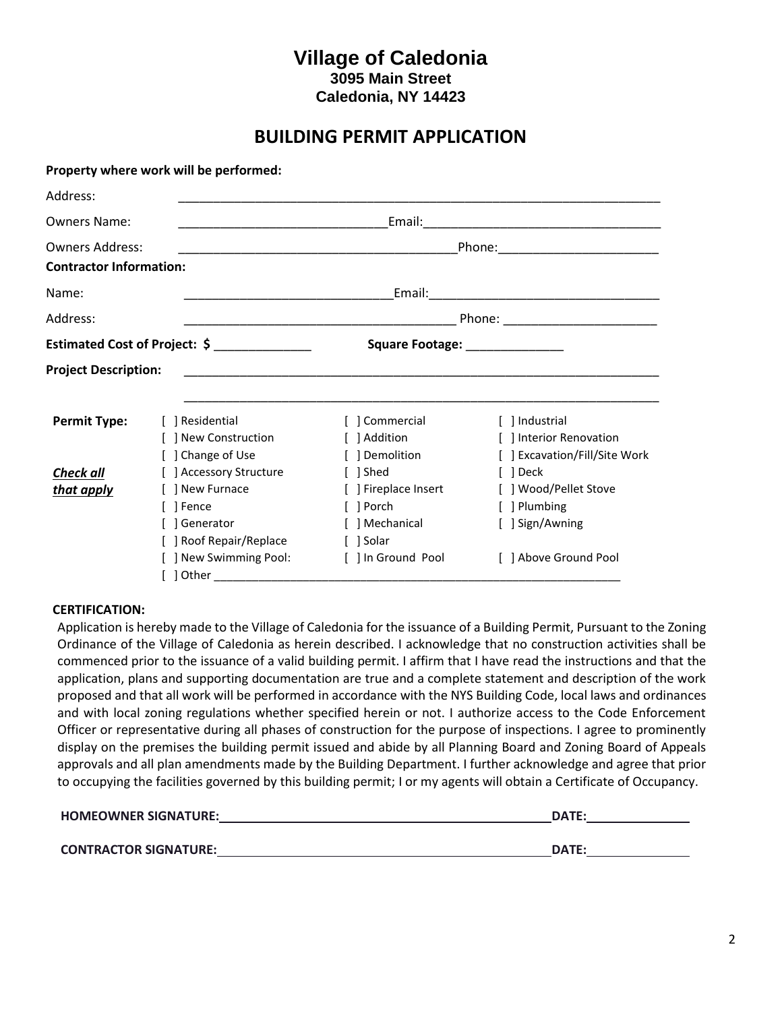## **Village of Caledonia 3095 Main Street Caledonia, NY 14423**

## **BUILDING PERMIT APPLICATION**

|                                                          | Property where work will be performed: |                                                                                                                       |                                           |
|----------------------------------------------------------|----------------------------------------|-----------------------------------------------------------------------------------------------------------------------|-------------------------------------------|
| Address:                                                 |                                        |                                                                                                                       |                                           |
| <b>Owners Name:</b>                                      |                                        |                                                                                                                       |                                           |
| <b>Owners Address:</b><br><b>Contractor Information:</b> |                                        | <u> 2000 - Jan James James James James James James James James James James James James James James James James J</u>  |                                           |
| Name:                                                    |                                        |                                                                                                                       |                                           |
| Address:                                                 |                                        |                                                                                                                       |                                           |
|                                                          | Estimated Cost of Project: \$          | Square Footage: _______________                                                                                       |                                           |
| <b>Project Description:</b>                              |                                        | <u> 1989 - Johann John Stone, markin film yn y brening yn y brening yn y brening yn y brening yn y brening yn y b</u> |                                           |
| <b>Permit Type:</b>                                      | 1 Residential                          | [ ] Commercial                                                                                                        | [ ] Industrial                            |
|                                                          | ] New Construction                     | [ ] Addition                                                                                                          | [ ] Interior Renovation                   |
| Check all                                                | Change of Use<br>] Accessory Structure | [ ] Demolition<br>[ ] Shed                                                                                            | [ ] Excavation/Fill/Site Work<br>[ ] Deck |
| that apply                                               | 1 New Furnace                          | [ ] Fireplace Insert                                                                                                  | [ ] Wood/Pellet Stove                     |
|                                                          | 1 Fence                                | [ ] Porch                                                                                                             | [ ] Plumbing                              |
|                                                          | 1 Generator                            | [ ] Mechanical                                                                                                        | [ ] Sign/Awning                           |
|                                                          | ] Roof Repair/Replace                  | [ ] Solar                                                                                                             |                                           |
|                                                          | ] New Swimming Pool:                   | [ ] In Ground Pool                                                                                                    | [ ] Above Ground Pool                     |
|                                                          | Other                                  |                                                                                                                       |                                           |

#### **CERTIFICATION:**

Application is hereby made to the Village of Caledonia for the issuance of a Building Permit, Pursuant to the Zoning Ordinance of the Village of Caledonia as herein described. I acknowledge that no construction activities shall be commenced prior to the issuance of a valid building permit. I affirm that I have read the instructions and that the application, plans and supporting documentation are true and a complete statement and description of the work proposed and that all work will be performed in accordance with the NYS Building Code, local laws and ordinances and with local zoning regulations whether specified herein or not. I authorize access to the Code Enforcement Officer or representative during all phases of construction for the purpose of inspections. I agree to prominently display on the premises the building permit issued and abide by all Planning Board and Zoning Board of Appeals approvals and all plan amendments made by the Building Department. I further acknowledge and agree that prior to occupying the facilities governed by this building permit; I or my agents will obtain a Certificate of Occupancy.

| <b>HOMEOWNER SIGNATURE:</b>  | <b>DATE:</b> |  |
|------------------------------|--------------|--|
|                              |              |  |
| <b>CONTRACTOR SIGNATURE:</b> | DATE:        |  |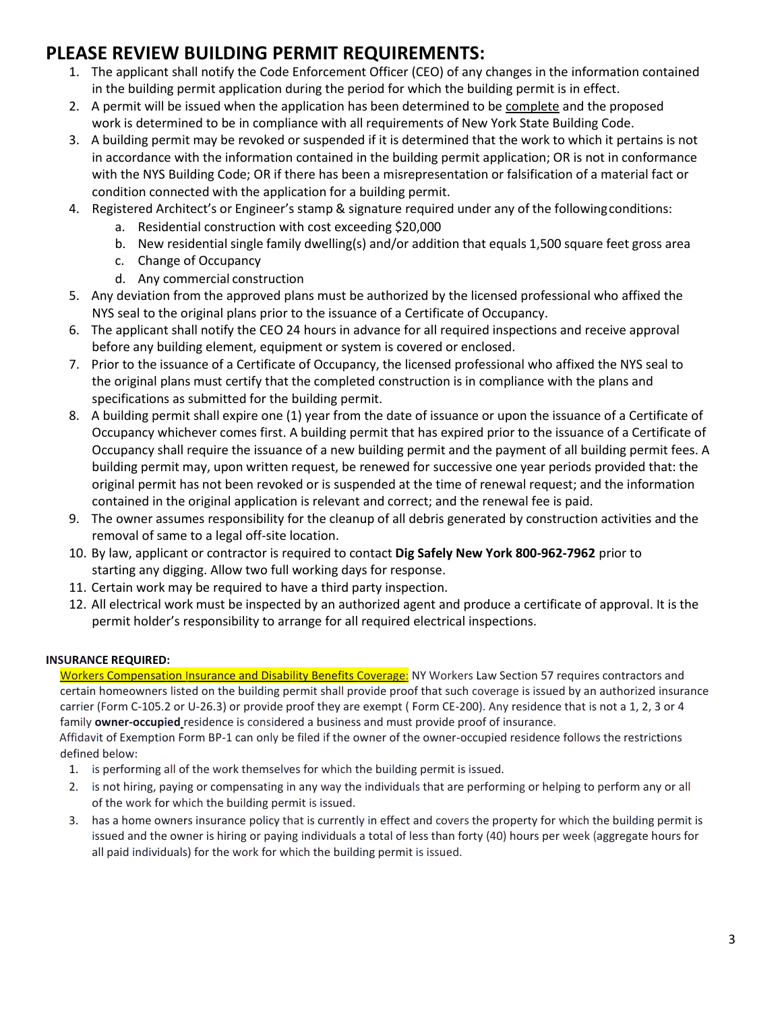# **PLEASE REVIEW BUILDING PERMIT REQUIREMENTS:**

- 1. The applicant shall notify the Code Enforcement Officer (CEO) of any changes in the information contained in the building permit application during the period for which the building permit is in effect.
- 2. A permit will be issued when the application has been determined to be complete and the proposed work is determined to be in compliance with all requirements of New York State Building Code.
- 3. A building permit may be revoked or suspended if it is determined that the work to which it pertains is not in accordance with the information contained in the building permit application; OR is not in conformance with the NYS Building Code; OR if there has been a misrepresentation or falsification of a material fact or condition connected with the application for a building permit.
- 4. Registered Architect's or Engineer's stamp & signature required under any of the followingconditions:
	- a. Residential construction with cost exceeding \$20,000
	- b. New residential single family dwelling(s) and/or addition that equals 1,500 square feet gross area
	- c. Change of Occupancy
	- d. Any commercial construction
- 5. Any deviation from the approved plans must be authorized by the licensed professional who affixed the NYS seal to the original plans prior to the issuance of a Certificate of Occupancy.
- 6. The applicant shall notify the CEO 24 hours in advance for all required inspections and receive approval before any building element, equipment or system is covered or enclosed.
- 7. Prior to the issuance of a Certificate of Occupancy, the licensed professional who affixed the NYS seal to the original plans must certify that the completed construction is in compliance with the plans and specifications as submitted for the building permit.
- 8. A building permit shall expire one (1) year from the date of issuance or upon the issuance of a Certificate of Occupancy whichever comes first. A building permit that has expired prior to the issuance of a Certificate of Occupancy shall require the issuance of a new building permit and the payment of all building permit fees. A building permit may, upon written request, be renewed for successive one year periods provided that: the original permit has not been revoked or is suspended at the time of renewal request; and the information contained in the original application is relevant and correct; and the renewal fee is paid.
- 9. The owner assumes responsibility for the cleanup of all debris generated by construction activities and the removal of same to a legal off-site location.
- 10. By law, applicant or contractor is required to contact **Dig Safely New York 800‐962‐7962** prior to starting any digging. Allow two full working days for response.
- 11. Certain work may be required to have a third party inspection.
- 12. All electrical work must be inspected by an authorized agent and produce a certificate of approval. It is the permit holder's responsibility to arrange for all required electrical inspections.

### **INSURANCE REQUIRED:**

Workers Compensation Insurance and Disability Benefits Coverage: NY Workers Law Section 57 requires contractors and certain homeowners listed on the building permit shall provide proof that such coverage is issued by an authorized insurance carrier (Form C-105.2 or U-26.3) or provide proof they are exempt ( Form CE-200). Any residence that is not a 1, 2, 3 or 4 family **owner-occupied** residence is considered a business and must provide proof of insurance.

Affidavit of Exemption Form BP-1 can only be filed if the owner of the owner-occupied residence follows the restrictions defined below:

- 1. is performing all of the work themselves for which the building permit is issued.
- 2. is not hiring, paying or compensating in any way the individuals that are performing or helping to perform any or all of the work for which the building permit is issued.
- 3. has a home owners insurance policy that is currently in effect and covers the property for which the building permit is issued and the owner is hiring or paying individuals a total of less than forty (40) hours per week (aggregate hours for all paid individuals) for the work for which the building permit is issued.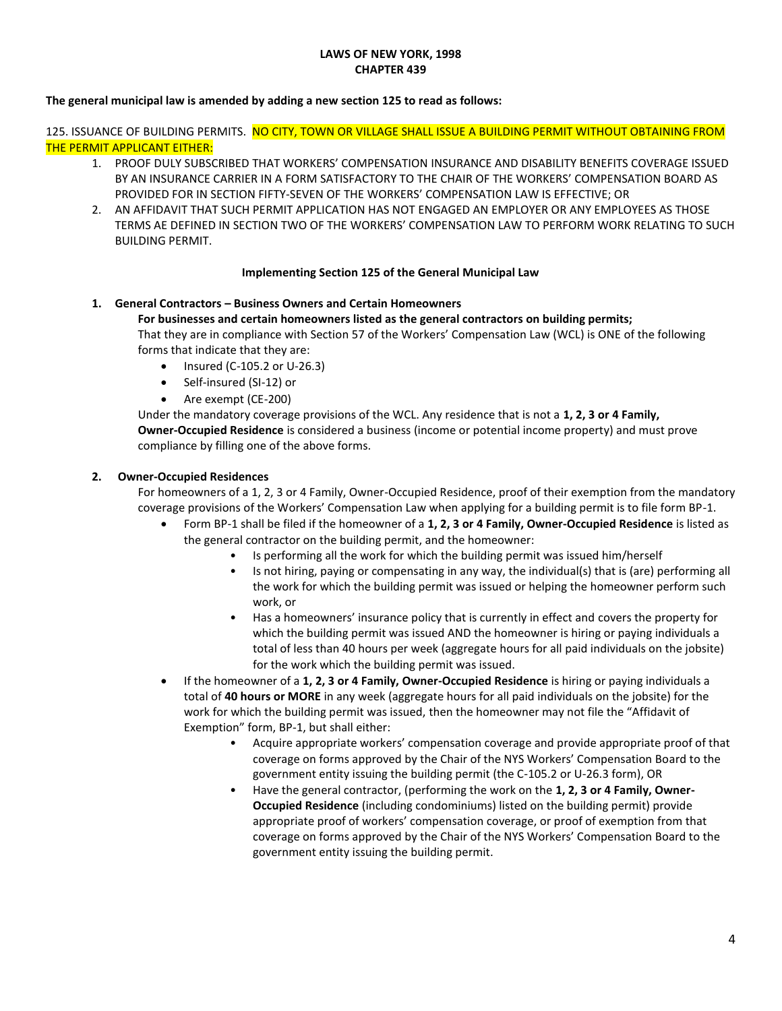#### **LAWS OF NEW YORK, 1998 CHAPTER 439**

#### **The general municipal law is amended by adding a new section 125 to read as follows:**

125. ISSUANCE OF BUILDING PERMITS. NO CITY, TOWN OR VILLAGE SHALL ISSUE A BUILDING PERMIT WITHOUT OBTAINING FROM THE PERMIT APPLICANT EITHER:

- 1. PROOF DULY SUBSCRIBED THAT WORKERS' COMPENSATION INSURANCE AND DISABILITY BENEFITS COVERAGE ISSUED BY AN INSURANCE CARRIER IN A FORM SATISFACTORY TO THE CHAIR OF THE WORKERS' COMPENSATION BOARD AS PROVIDED FOR IN SECTION FIFTY-SEVEN OF THE WORKERS' COMPENSATION LAW IS EFFECTIVE; OR
- 2. AN AFFIDAVIT THAT SUCH PERMIT APPLICATION HAS NOT ENGAGED AN EMPLOYER OR ANY EMPLOYEES AS THOSE TERMS AE DEFINED IN SECTION TWO OF THE WORKERS' COMPENSATION LAW TO PERFORM WORK RELATING TO SUCH BUILDING PERMIT.

#### **Implementing Section 125 of the General Municipal Law**

#### **1. General Contractors – Business Owners and Certain Homeowners**

#### **For businesses and certain homeowners listed as the general contractors on building permits;**

That they are in compliance with Section 57 of the Workers' Compensation Law (WCL) is ONE of the following forms that indicate that they are:

- Insured (C-105.2 or U-26.3)
- Self-insured (SI-12) or
- Are exempt (CE-200)

Under the mandatory coverage provisions of the WCL. Any residence that is not a **1, 2, 3 or 4 Family, Owner-Occupied Residence** is considered a business (income or potential income property) and must prove compliance by filling one of the above forms.

#### **2. Owner-Occupied Residences**

For homeowners of a 1, 2, 3 or 4 Family, Owner-Occupied Residence, proof of their exemption from the mandatory coverage provisions of the Workers' Compensation Law when applying for a building permit is to file form BP-1.

- Form BP-1 shall be filed if the homeowner of a **1, 2, 3 or 4 Family, Owner-Occupied Residence** is listed as the general contractor on the building permit, and the homeowner:
	- Is performing all the work for which the building permit was issued him/herself
	- Is not hiring, paying or compensating in any way, the individual(s) that is (are) performing all the work for which the building permit was issued or helping the homeowner perform such work, or
	- Has a homeowners' insurance policy that is currently in effect and covers the property for which the building permit was issued AND the homeowner is hiring or paying individuals a total of less than 40 hours per week (aggregate hours for all paid individuals on the jobsite) for the work which the building permit was issued.
- If the homeowner of a **1, 2, 3 or 4 Family, Owner-Occupied Residence** is hiring or paying individuals a total of **40 hours or MORE** in any week (aggregate hours for all paid individuals on the jobsite) for the work for which the building permit was issued, then the homeowner may not file the "Affidavit of Exemption" form, BP-1, but shall either:
	- Acquire appropriate workers' compensation coverage and provide appropriate proof of that coverage on forms approved by the Chair of the NYS Workers' Compensation Board to the government entity issuing the building permit (the C-105.2 or U-26.3 form), OR
	- Have the general contractor, (performing the work on the **1, 2, 3 or 4 Family, Owner-Occupied Residence** (including condominiums) listed on the building permit) provide appropriate proof of workers' compensation coverage, or proof of exemption from that coverage on forms approved by the Chair of the NYS Workers' Compensation Board to the government entity issuing the building permit.